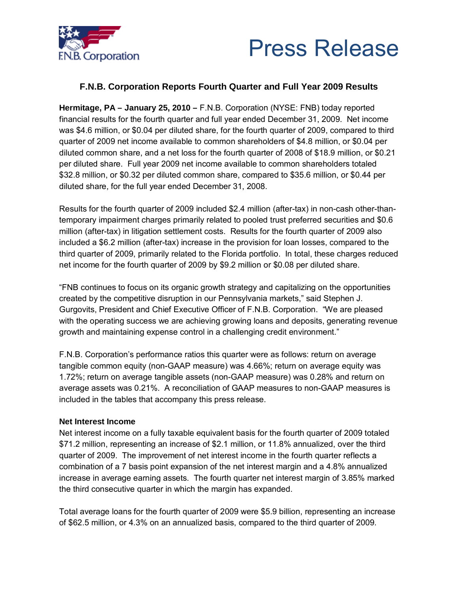



# **F.N.B. Corporation Reports Fourth Quarter and Full Year 2009 Results**

**Hermitage, PA – January 25, 2010 –** F.N.B. Corporation (NYSE: FNB) today reported financial results for the fourth quarter and full year ended December 31, 2009. Net income was \$4.6 million, or \$0.04 per diluted share, for the fourth quarter of 2009, compared to third quarter of 2009 net income available to common shareholders of \$4.8 million, or \$0.04 per diluted common share, and a net loss for the fourth quarter of 2008 of \$18.9 million, or \$0.21 per diluted share. Full year 2009 net income available to common shareholders totaled \$32.8 million, or \$0.32 per diluted common share, compared to \$35.6 million, or \$0.44 per diluted share, for the full year ended December 31, 2008.

Results for the fourth quarter of 2009 included \$2.4 million (after-tax) in non-cash other-thantemporary impairment charges primarily related to pooled trust preferred securities and \$0.6 million (after-tax) in litigation settlement costs. Results for the fourth quarter of 2009 also included a \$6.2 million (after-tax) increase in the provision for loan losses, compared to the third quarter of 2009, primarily related to the Florida portfolio. In total, these charges reduced net income for the fourth quarter of 2009 by \$9.2 million or \$0.08 per diluted share.

"FNB continues to focus on its organic growth strategy and capitalizing on the opportunities created by the competitive disruption in our Pennsylvania markets," said Stephen J. Gurgovits, President and Chief Executive Officer of F.N.B. Corporation. "We are pleased with the operating success we are achieving growing loans and deposits, generating revenue growth and maintaining expense control in a challenging credit environment."

F.N.B. Corporation's performance ratios this quarter were as follows: return on average tangible common equity (non-GAAP measure) was 4.66%; return on average equity was 1.72%; return on average tangible assets (non-GAAP measure) was 0.28% and return on average assets was 0.21%. A reconciliation of GAAP measures to non-GAAP measures is included in the tables that accompany this press release.

# **Net Interest Income**

Net interest income on a fully taxable equivalent basis for the fourth quarter of 2009 totaled \$71.2 million, representing an increase of \$2.1 million, or 11.8% annualized, over the third quarter of 2009. The improvement of net interest income in the fourth quarter reflects a combination of a 7 basis point expansion of the net interest margin and a 4.8% annualized increase in average earning assets. The fourth quarter net interest margin of 3.85% marked the third consecutive quarter in which the margin has expanded.

Total average loans for the fourth quarter of 2009 were \$5.9 billion, representing an increase of \$62.5 million, or 4.3% on an annualized basis, compared to the third quarter of 2009.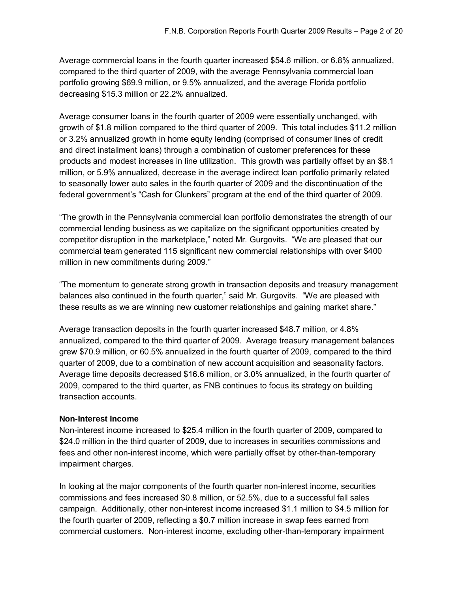Average commercial loans in the fourth quarter increased \$54.6 million, or 6.8% annualized, compared to the third quarter of 2009, with the average Pennsylvania commercial loan portfolio growing \$69.9 million, or 9.5% annualized, and the average Florida portfolio decreasing \$15.3 million or 22.2% annualized.

Average consumer loans in the fourth quarter of 2009 were essentially unchanged, with growth of \$1.8 million compared to the third quarter of 2009. This total includes \$11.2 million or 3.2% annualized growth in home equity lending (comprised of consumer lines of credit and direct installment loans) through a combination of customer preferences for these products and modest increases in line utilization. This growth was partially offset by an \$8.1 million, or 5.9% annualized, decrease in the average indirect loan portfolio primarily related to seasonally lower auto sales in the fourth quarter of 2009 and the discontinuation of the federal government's "Cash for Clunkers" program at the end of the third quarter of 2009.

"The growth in the Pennsylvania commercial loan portfolio demonstrates the strength of our commercial lending business as we capitalize on the significant opportunities created by competitor disruption in the marketplace," noted Mr. Gurgovits. "We are pleased that our commercial team generated 115 significant new commercial relationships with over \$400 million in new commitments during 2009."

"The momentum to generate strong growth in transaction deposits and treasury management balances also continued in the fourth quarter," said Mr. Gurgovits. "We are pleased with these results as we are winning new customer relationships and gaining market share."

Average transaction deposits in the fourth quarter increased \$48.7 million, or 4.8% annualized, compared to the third quarter of 2009. Average treasury management balances grew \$70.9 million, or 60.5% annualized in the fourth quarter of 2009, compared to the third quarter of 2009, due to a combination of new account acquisition and seasonality factors. Average time deposits decreased \$16.6 million, or 3.0% annualized, in the fourth quarter of 2009, compared to the third quarter, as FNB continues to focus its strategy on building transaction accounts.

# **Non-Interest Income**

Non-interest income increased to \$25.4 million in the fourth quarter of 2009, compared to \$24.0 million in the third quarter of 2009, due to increases in securities commissions and fees and other non-interest income, which were partially offset by other-than-temporary impairment charges.

In looking at the major components of the fourth quarter non-interest income, securities commissions and fees increased \$0.8 million, or 52.5%, due to a successful fall sales campaign. Additionally, other non-interest income increased \$1.1 million to \$4.5 million for the fourth quarter of 2009, reflecting a \$0.7 million increase in swap fees earned from commercial customers. Non-interest income, excluding other-than-temporary impairment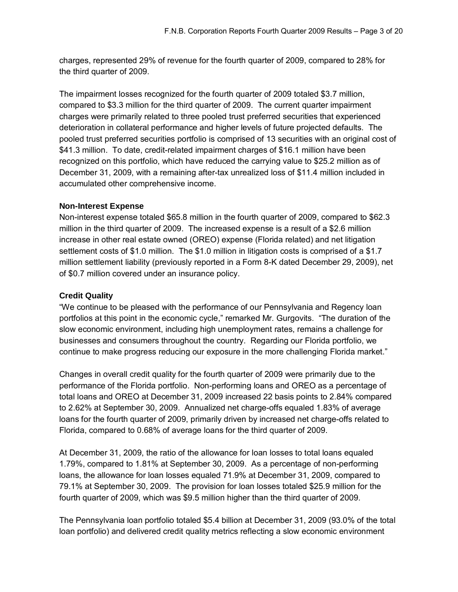charges, represented 29% of revenue for the fourth quarter of 2009, compared to 28% for the third quarter of 2009.

The impairment losses recognized for the fourth quarter of 2009 totaled \$3.7 million, compared to \$3.3 million for the third quarter of 2009. The current quarter impairment charges were primarily related to three pooled trust preferred securities that experienced deterioration in collateral performance and higher levels of future projected defaults. The pooled trust preferred securities portfolio is comprised of 13 securities with an original cost of \$41.3 million. To date, credit-related impairment charges of \$16.1 million have been recognized on this portfolio, which have reduced the carrying value to \$25.2 million as of December 31, 2009, with a remaining after-tax unrealized loss of \$11.4 million included in accumulated other comprehensive income.

# **Non-Interest Expense**

Non-interest expense totaled \$65.8 million in the fourth quarter of 2009, compared to \$62.3 million in the third quarter of 2009. The increased expense is a result of a \$2.6 million increase in other real estate owned (OREO) expense (Florida related) and net litigation settlement costs of \$1.0 million. The \$1.0 million in litigation costs is comprised of a \$1.7 million settlement liability (previously reported in a Form 8-K dated December 29, 2009), net of \$0.7 million covered under an insurance policy.

# **Credit Quality**

"We continue to be pleased with the performance of our Pennsylvania and Regency loan portfolios at this point in the economic cycle," remarked Mr. Gurgovits. "The duration of the slow economic environment, including high unemployment rates, remains a challenge for businesses and consumers throughout the country. Regarding our Florida portfolio, we continue to make progress reducing our exposure in the more challenging Florida market."

Changes in overall credit quality for the fourth quarter of 2009 were primarily due to the performance of the Florida portfolio. Non-performing loans and OREO as a percentage of total loans and OREO at December 31, 2009 increased 22 basis points to 2.84% compared to 2.62% at September 30, 2009. Annualized net charge-offs equaled 1.83% of average loans for the fourth quarter of 2009, primarily driven by increased net charge-offs related to Florida, compared to 0.68% of average loans for the third quarter of 2009.

At December 31, 2009, the ratio of the allowance for loan losses to total loans equaled 1.79%, compared to 1.81% at September 30, 2009. As a percentage of non-performing loans, the allowance for loan losses equaled 71.9% at December 31, 2009, compared to 79.1% at September 30, 2009. The provision for loan losses totaled \$25.9 million for the fourth quarter of 2009, which was \$9.5 million higher than the third quarter of 2009.

The Pennsylvania loan portfolio totaled \$5.4 billion at December 31, 2009 (93.0% of the total loan portfolio) and delivered credit quality metrics reflecting a slow economic environment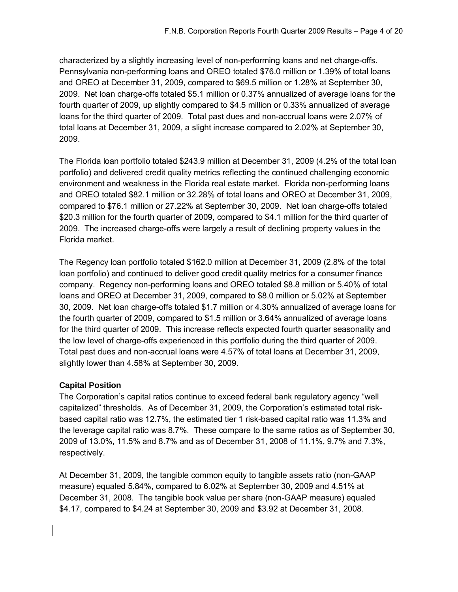characterized by a slightly increasing level of non-performing loans and net charge-offs. Pennsylvania non-performing loans and OREO totaled \$76.0 million or 1.39% of total loans and OREO at December 31, 2009, compared to \$69.5 million or 1.28% at September 30, 2009. Net loan charge-offs totaled \$5.1 million or 0.37% annualized of average loans for the fourth quarter of 2009, up slightly compared to \$4.5 million or 0.33% annualized of average loans for the third quarter of 2009. Total past dues and non-accrual loans were 2.07% of total loans at December 31, 2009, a slight increase compared to 2.02% at September 30, 2009.

The Florida loan portfolio totaled \$243.9 million at December 31, 2009 (4.2% of the total loan portfolio) and delivered credit quality metrics reflecting the continued challenging economic environment and weakness in the Florida real estate market. Florida non-performing loans and OREO totaled \$82.1 million or 32.28% of total loans and OREO at December 31, 2009, compared to \$76.1 million or 27.22% at September 30, 2009. Net loan charge-offs totaled \$20.3 million for the fourth quarter of 2009, compared to \$4.1 million for the third quarter of 2009. The increased charge-offs were largely a result of declining property values in the Florida market.

The Regency loan portfolio totaled \$162.0 million at December 31, 2009 (2.8% of the total loan portfolio) and continued to deliver good credit quality metrics for a consumer finance company. Regency non-performing loans and OREO totaled \$8.8 million or 5.40% of total loans and OREO at December 31, 2009, compared to \$8.0 million or 5.02% at September 30, 2009. Net loan charge-offs totaled \$1.7 million or 4.30% annualized of average loans for the fourth quarter of 2009, compared to \$1.5 million or 3.64% annualized of average loans for the third quarter of 2009. This increase reflects expected fourth quarter seasonality and the low level of charge-offs experienced in this portfolio during the third quarter of 2009. Total past dues and non-accrual loans were 4.57% of total loans at December 31, 2009, slightly lower than 4.58% at September 30, 2009.

# **Capital Position**

The Corporation's capital ratios continue to exceed federal bank regulatory agency "well capitalized" thresholds. As of December 31, 2009, the Corporation's estimated total riskbased capital ratio was 12.7%, the estimated tier 1 risk-based capital ratio was 11.3% and the leverage capital ratio was 8.7%. These compare to the same ratios as of September 30, 2009 of 13.0%, 11.5% and 8.7% and as of December 31, 2008 of 11.1%, 9.7% and 7.3%, respectively.

At December 31, 2009, the tangible common equity to tangible assets ratio (non-GAAP measure) equaled 5.84%, compared to 6.02% at September 30, 2009 and 4.51% at December 31, 2008. The tangible book value per share (non-GAAP measure) equaled \$4.17, compared to \$4.24 at September 30, 2009 and \$3.92 at December 31, 2008.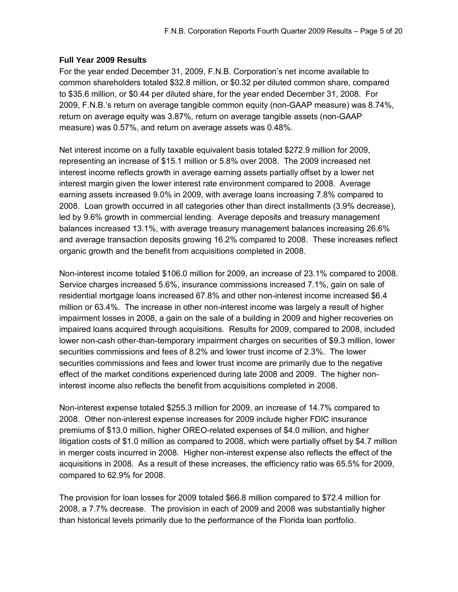# **Full Year 2009 Results**

For the year ended December 31, 2009, F.N.B. Corporation's net income available to common shareholders totaled \$32.8 million, or \$0.32 per diluted common share, compared to \$35.6 million, or \$0.44 per diluted share, for the year ended December 31, 2008. For 2009, F.N.B.'s return on average tangible common equity (non-GAAP measure) was 8.74%, return on average equity was 3.87%, return on average tangible assets (non-GAAP measure) was 0.57%, and return on average assets was 0.48%.

Net interest income on a fully taxable equivalent basis totaled \$272.9 million for 2009, representing an increase of \$15.1 million or 5.8% over 2008. The 2009 increased net interest income reflects growth in average earning assets partially offset by a lower net interest margin given the lower interest rate environment compared to 2008. Average earning assets increased 9.0% in 2009, with average loans increasing 7.8% compared to 2008. Loan growth occurred in all categories other than direct installments (3.9% decrease), led by 9.6% growth in commercial lending. Average deposits and treasury management balances increased 13.1%, with average treasury management balances increasing 26.6% and average transaction deposits growing 16.2% compared to 2008. These increases reflect organic growth and the benefit from acquisitions completed in 2008.

Non-interest income totaled \$106.0 million for 2009, an increase of 23.1% compared to 2008. Service charges increased 5.6%, insurance commissions increased 7.1%, gain on sale of residential mortgage loans increased 67.8% and other non-interest income increased \$6.4 million or 63.4%. The increase in other non-interest income was largely a result of higher impairment losses in 2008, a gain on the sale of a building in 2009 and higher recoveries on impaired loans acquired through acquisitions. Results for 2009, compared to 2008, included lower non-cash other-than-temporary impairment charges on securities of \$9.3 million, lower securities commissions and fees of 8.2% and lower trust income of 2.3%. The lower securities commissions and fees and lower trust income are primarily due to the negative effect of the market conditions experienced during late 2008 and 2009. The higher noninterest income also reflects the benefit from acquisitions completed in 2008.

Non-interest expense totaled \$255.3 million for 2009, an increase of 14.7% compared to 2008. Other non-interest expense increases for 2009 include higher FDIC insurance premiums of \$13.0 million, higher OREO-related expenses of \$4.0 million, and higher litigation costs of \$1.0 million as compared to 2008, which were partially offset by \$4.7 million in merger costs incurred in 2008. Higher non-interest expense also reflects the effect of the acquisitions in 2008. As a result of these increases, the efficiency ratio was 65.5% for 2009, compared to 62.9% for 2008.

The provision for loan losses for 2009 totaled \$66.8 million compared to \$72.4 million for 2008, a 7.7% decrease. The provision in each of 2009 and 2008 was substantially higher than historical levels primarily due to the performance of the Florida loan portfolio.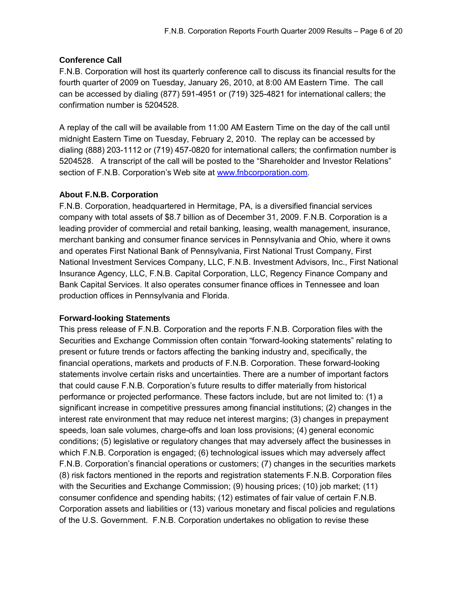# **Conference Call**

F.N.B. Corporation will host its quarterly conference call to discuss its financial results for the fourth quarter of 2009 on Tuesday, January 26, 2010, at 8:00 AM Eastern Time. The call can be accessed by dialing (877) 591-4951 or (719) 325-4821 for international callers; the confirmation number is 5204528.

A replay of the call will be available from 11:00 AM Eastern Time on the day of the call until midnight Eastern Time on Tuesday, February 2, 2010. The replay can be accessed by dialing (888) 203-1112 or (719) 457-0820 for international callers; the confirmation number is 5204528. A transcript of the call will be posted to the "Shareholder and Investor Relations" section of F.N.B. Corporation's Web site at [www.fnbcorporation.com](http://www.fnbcorporation.com).

# **About F.N.B. Corporation**

F.N.B. Corporation, headquartered in Hermitage, PA, is a diversified financial services company with total assets of \$8.7 billion as of December 31, 2009. F.N.B. Corporation is a leading provider of commercial and retail banking, leasing, wealth management, insurance, merchant banking and consumer finance services in Pennsylvania and Ohio, where it owns and operates First National Bank of Pennsylvania, First National Trust Company, First National Investment Services Company, LLC, F.N.B. Investment Advisors, Inc., First National Insurance Agency, LLC, F.N.B. Capital Corporation, LLC, Regency Finance Company and Bank Capital Services. It also operates consumer finance offices in Tennessee and loan production offices in Pennsylvania and Florida.

# **Forward-looking Statements**

This press release of F.N.B. Corporation and the reports F.N.B. Corporation files with the Securities and Exchange Commission often contain "forward-looking statements" relating to present or future trends or factors affecting the banking industry and, specifically, the financial operations, markets and products of F.N.B. Corporation. These forward-looking statements involve certain risks and uncertainties. There are a number of important factors that could cause F.N.B. Corporation's future results to differ materially from historical performance or projected performance. These factors include, but are not limited to: (1) a significant increase in competitive pressures among financial institutions; (2) changes in the interest rate environment that may reduce net interest margins; (3) changes in prepayment speeds, loan sale volumes, charge-offs and loan loss provisions; (4) general economic conditions; (5) legislative or regulatory changes that may adversely affect the businesses in which F.N.B. Corporation is engaged; (6) technological issues which may adversely affect F.N.B. Corporation's financial operations or customers; (7) changes in the securities markets (8) risk factors mentioned in the reports and registration statements F.N.B. Corporation files with the Securities and Exchange Commission; (9) housing prices; (10) job market; (11) consumer confidence and spending habits; (12) estimates of fair value of certain F.N.B. Corporation assets and liabilities or (13) various monetary and fiscal policies and regulations of the U.S. Government. F.N.B. Corporation undertakes no obligation to revise these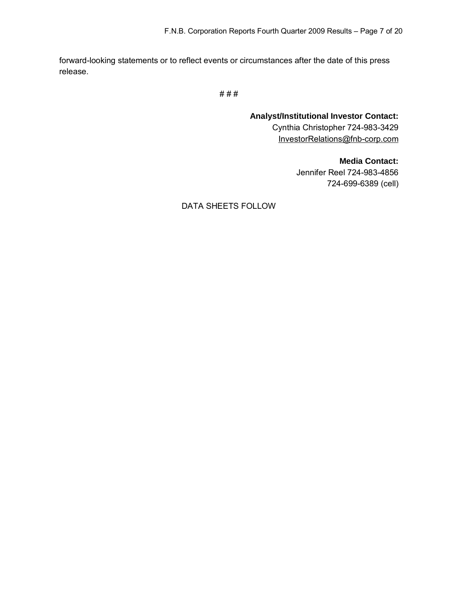forward-looking statements or to reflect events or circumstances after the date of this press release.

# # #

**Analyst/Institutional Investor Contact:**  Cynthia Christopher 724-983-3429 [InvestorRelations@fnb-corp.com](mailto:InvestorRelations@fnb-corp.com)

> **Media Contact:**  Jennifer Reel 724-983-4856 724-699-6389 (cell)

DATA SHEETS FOLLOW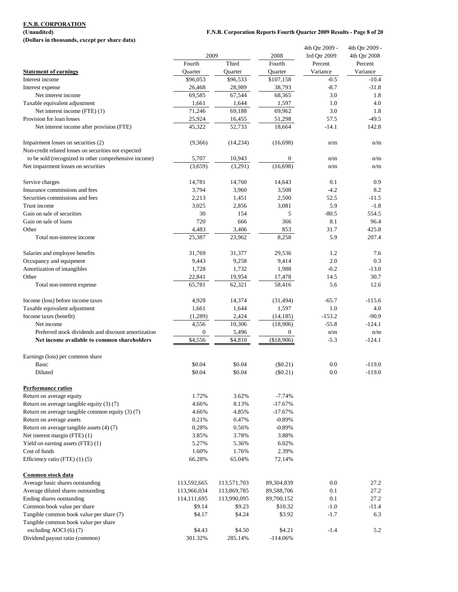**(Dollars in thousands, except per share data)**

### **(Unaudited) F.N.B. Corporation Reports Fourth Quarter 2009 Results - Page 8 of 20**

|                                                       |                     |                     |                      | 4th Qtr 2009 -     | 4th Qtr 2009 -      |
|-------------------------------------------------------|---------------------|---------------------|----------------------|--------------------|---------------------|
|                                                       | 2009                |                     | 2008                 | 3rd Qtr 2009       | 4th Qtr 2008        |
|                                                       | Fourth              | Third               | Fourth               | Percent            | Percent<br>Variance |
| <b>Statement of earnings</b><br>Interest income       | Quarter<br>\$96,053 | Quarter<br>\$96,533 | Quarter<br>\$107,158 | Variance<br>$-0.5$ | $-10.4$             |
|                                                       | 26,468              | 28,989              | 38,793               | $-8.7$             | $-31.8$             |
| Interest expense<br>Net interest income               | 69,585              | 67,544              | 68,365               | 3.0                | 1.8                 |
| Taxable equivalent adjustment                         | 1,661               | 1,644               | 1,597                | 1.0                | 4.0                 |
| Net interest income (FTE) (1)                         | 71,246              | 69,188              | 69,962               | 3.0                | 1.8                 |
| Provision for loan losses                             | 25,924              | 16,455              | 51,298               | 57.5               | $-49.5$             |
| Net interest income after provision (FTE)             | 45,322              | 52,733              | 18,664               | $-14.1$            | 142.8               |
|                                                       |                     |                     |                      |                    |                     |
| Impairment losses on securities (2)                   | (9,366)             | (14, 234)           | (16,698)             | n/m                | n/m                 |
| Non-credit related losses on securities not expected  |                     |                     |                      |                    |                     |
| to be sold (recognized in other comprehensive income) | 5,707               | 10,943              | $\boldsymbol{0}$     | n/m                | n/m                 |
| Net impairment losses on securities                   | (3,659)             | (3,291)             | (16, 698)            | n/m                | n/m                 |
| Service charges                                       | 14,781              | 14,760              | 14,643               | 0.1                | 0.9                 |
| Insurance commissions and fees                        | 3,794               | 3,960               | 3,508                | $-4.2$             | 8.2                 |
| Securities commissions and fees                       | 2,213               | 1,451               | 2,500                | 52.5               | $-11.5$             |
| Trust income                                          | 3,025               | 2,856               | 3,081                | 5.9                | $-1.8$              |
| Gain on sale of securities                            | 30                  | 154                 | 5                    | $-80.5$            | 554.5               |
| Gain on sale of loans                                 | 720                 | 666                 | 366                  | 8.1                | 96.4                |
| Other                                                 | 4,483               | 3,406               | 853                  | 31.7               | 425.8               |
| Total non-interest income                             | 25,387              | 23,962              | 8,258                | 5.9                | 207.4               |
| Salaries and employee benefits                        | 31,769              | 31,377              | 29,536               | 1.2                | 7.6                 |
| Occupancy and equipment                               | 9,443               | 9,258               | 9,414                | 2.0                | 0.3                 |
| Amortization of intangibles                           | 1,728               | 1,732               | 1,988                | $-0.2$             | $-13.0$             |
| Other                                                 | 22,841              | 19,954              | 17,478               | 14.5               | 30.7                |
| Total non-interest expense                            | 65,781              | 62,321              | 58,416               | 5.6                | 12.6                |
|                                                       |                     |                     |                      |                    |                     |
| Income (loss) before income taxes                     | 4,928               | 14,374              | (31, 494)            | $-65.7$            | $-115.6$            |
| Taxable equivalent adjustment                         | 1,661               | 1,644               | 1,597                | 1.0                | 4.0                 |
| Income taxes (benefit)                                | (1,289)             | 2,424               | (14, 185)            | $-153.2$           | $-90.9$             |
| Net income                                            | 4,556               | 10,306              | (18,906)             | $-55.8$            | $-124.1$            |
| Preferred stock dividends and discount amortization   | $\boldsymbol{0}$    | 5,496               | $\overline{0}$       | n/m                | n/m                 |
| Net income available to common shareholders           | \$4,556             | \$4,810             | (\$18,906)           | $-5.3$             | $-124.1$            |
| Earnings (loss) per common share                      |                     |                     |                      |                    |                     |
| <b>Basic</b>                                          | \$0.04              | \$0.04              | $(\$0.21)$           | 0.0                | $-119.0$            |
| Diluted                                               | \$0.04              | \$0.04              | (\$0.21)             | 0.0                | $-119.0$            |
|                                                       |                     |                     |                      |                    |                     |
| <b>Performance ratios</b>                             |                     |                     |                      |                    |                     |
| Return on average equity                              | 1.72%               | 3.62%               | $-7.74%$             |                    |                     |
| Return on average tangible equity (3) (7)             | 4.66%               | 8.13%               | $-17.67%$            |                    |                     |
| Return on average tangible common equity (3) (7)      | 4.66%               | 4.85%               | $-17.67%$            |                    |                     |
| Return on average assets                              | 0.21%               | 0.47%               | $-0.89%$             |                    |                     |
| Return on average tangible assets (4) (7)             | 0.28%               | 0.56%               | $-0.89%$             |                    |                     |
| Net interest margin (FTE) (1)                         | 3.85%               | 3.78%               | 3.88%                |                    |                     |
| Yield on earning assets (FTE) (1)                     | 5.27%               | 5.36%               | 6.02%                |                    |                     |
| Cost of funds                                         | 1.60%               | 1.76%               | 2.39%                |                    |                     |
| Efficiency ratio (FTE) (1) (5)                        | 66.28%              | 65.04%              | 72.14%               |                    |                     |
| Common stock data                                     |                     |                     |                      |                    |                     |
| Average basic shares outstanding                      | 113,592,665         | 113,571,703         | 89, 304, 839         | 0.0                | 27.2                |
| Average diluted shares outstanding                    | 113,966,034         | 113,869,785         | 89,588,706           | 0.1                | 27.2                |
| Ending shares outstanding                             | 114, 111, 695       | 113,990,095         | 89,700,152           | 0.1                | 27.2                |
| Common book value per share                           | \$9.14              | \$9.23              | \$10.32              | $-1.0$             | $-11.4$             |
| Tangible common book value per share (7)              | \$4.17              | \$4.24              | \$3.92               | $-1.7$             | 6.3                 |
| Tangible common book value per share                  |                     |                     |                      |                    |                     |
| excluding AOCI (6) (7)                                | \$4.43              | \$4.50              | \$4.21               | $-1.4$             | 5.2                 |
| Dividend payout ratio (common)                        | 301.32%             | 285.14%             | $-114.06\%$          |                    |                     |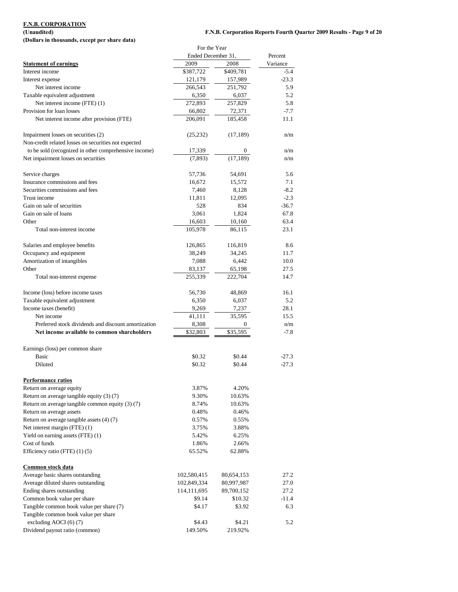**(Dollars in thousands, except per share data)**

## **(Unaudited) F.N.B. Corporation Reports Fourth Quarter 2009 Results - Page 9 of 20**

|                                                       | For the Year       |            |          |
|-------------------------------------------------------|--------------------|------------|----------|
|                                                       | Ended December 31, |            | Percent  |
| <b>Statement of earnings</b>                          | 2009               | 2008       | Variance |
| Interest income                                       | \$387,722          | \$409,781  | $-5.4$   |
| Interest expense                                      | 121,179            | 157,989    | $-23.3$  |
| Net interest income                                   | 266,543            | 251,792    | 5.9      |
| Taxable equivalent adjustment                         | 6,350              | 6,037      | 5.2      |
| Net interest income (FTE) (1)                         | 272,893            | 257,829    | 5.8      |
| Provision for loan losses                             | 66,802             | 72,371     | $-7.7$   |
| Net interest income after provision (FTE)             | 206,091            | 185,458    | 11.1     |
|                                                       |                    |            |          |
| Impairment losses on securities (2)                   | (25, 232)          | (17, 189)  | n/m      |
| Non-credit related losses on securities not expected  |                    |            |          |
| to be sold (recognized in other comprehensive income) | 17,339             | 0          | n/m      |
| Net impairment losses on securities                   | (7,893)            | (17, 189)  | n/m      |
|                                                       |                    |            |          |
| Service charges                                       | 57,736             | 54,691     | 5.6      |
| Insurance commissions and fees                        | 16,672             | 15,572     | 7.1      |
| Securities commissions and fees                       | 7,460              | 8,128      | $-8.2$   |
| Trust income                                          | 11,811             | 12,095     | $-2.3$   |
| Gain on sale of securities                            | 528                | 834        | $-36.7$  |
| Gain on sale of loans                                 | 3,061              | 1,824      | 67.8     |
| Other                                                 | 16,603             | 10,160     | 63.4     |
| Total non-interest income                             | 105,978            | 86,115     | 23.1     |
|                                                       |                    |            |          |
| Salaries and employee benefits                        | 126,865            | 116,819    | 8.6      |
| Occupancy and equipment                               | 38,249             | 34,245     | 11.7     |
| Amortization of intangibles                           | 7,088              | 6,442      | 10.0     |
| Other                                                 | 83,137             | 65,198     | 27.5     |
| Total non-interest expense                            | 255,339            | 222,704    | 14.7     |
|                                                       |                    |            |          |
| Income (loss) before income taxes                     | 56,730             | 48,869     | 16.1     |
| Taxable equivalent adjustment                         | 6,350              | 6,037      | 5.2      |
| Income taxes (benefit)                                | 9,269              | 7,237      | 28.1     |
| Net income                                            | 41,111             | 35,595     | 15.5     |
| Preferred stock dividends and discount amortization   | 8,308              | 0          | n/m      |
| Net income available to common shareholders           | \$32,803           | \$35,595   | $-7.8$   |
| Earnings (loss) per common share                      |                    |            |          |
| <b>Basic</b>                                          | \$0.32             | \$0.44     | $-27.3$  |
| Diluted                                               | \$0.32             | \$0.44     | $-27.3$  |
|                                                       |                    |            |          |
| <b>Performance ratios</b>                             |                    |            |          |
| Return on average equity                              | 3.87%              | 4.20%      |          |
| Return on average tangible equity (3) (7)             | 9.30%              | 10.63%     |          |
| Return on average tangible common equity (3) (7)      | 8.74%              | 10.63%     |          |
| Return on average assets                              | 0.48%              | 0.46%      |          |
| Return on average tangible assets (4) (7)             | 0.57%              | 0.55%      |          |
| Net interest margin (FTE) (1)                         | 3.75%              | 3.88%      |          |
| Yield on earning assets (FTE) (1)                     | 5.42%              | 6.25%      |          |
| Cost of funds                                         | 1.86%              | 2.66%      |          |
| Efficiency ratio (FTE) (1) (5)                        | 65.52%             | 62.88%     |          |
|                                                       |                    |            |          |
| Common stock data                                     |                    |            |          |
| Average basic shares outstanding                      | 102,580,415        | 80,654,153 | 27.2     |
| Average diluted shares outstanding                    | 102,849,334        | 80,997,987 | 27.0     |
| Ending shares outstanding                             | 114, 111, 695      | 89,700,152 | 27.2     |
| Common book value per share                           | \$9.14             | \$10.32    | $-11.4$  |
| Tangible common book value per share (7)              | \$4.17             | \$3.92     | 6.3      |
| Tangible common book value per share                  |                    |            |          |
| excluding AOCI (6) (7)                                | \$4.43             | \$4.21     | 5.2      |
| Dividend payout ratio (common)                        | 149.50%            | 219.92%    |          |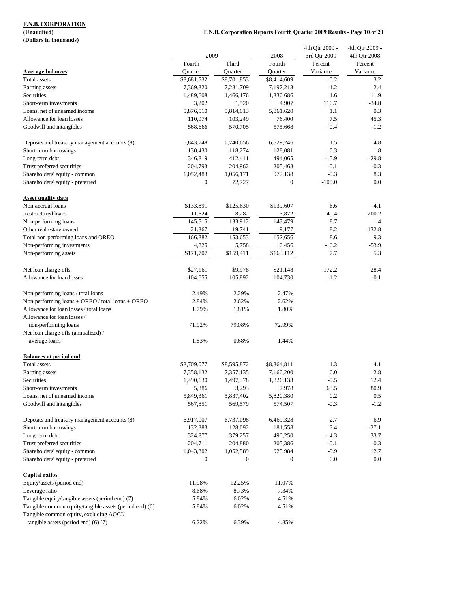**(Dollars in thousands)**

### **F.N.B. Corporation Reports Fourth Quarter 2009 Results - Page 10 of 20**

|                                                         |                  |              |                  | 4th Qtr 2009 - | 4th Qtr 2009 - |
|---------------------------------------------------------|------------------|--------------|------------------|----------------|----------------|
|                                                         | 2009             |              | 2008             | 3rd Qtr 2009   | 4th Qtr 2008   |
|                                                         | Fourth           | Third        | Fourth           | Percent        | Percent        |
| <b>Average balances</b>                                 | Quarter          | Quarter      | Quarter          | Variance       | Variance       |
| Total assets                                            | \$8,681,532      | \$8,701,853  | \$8,414,609      | $-0.2$         | 3.2            |
| Earning assets                                          | 7,369,320        | 7,281,709    | 7,197,213        | 1.2            | 2.4            |
| Securities                                              | 1,489,608        | 1,466,176    | 1,330,686        | 1.6            | 11.9           |
| Short-term investments                                  | 3,202            | 1,520        | 4,907            | 110.7          | $-34.8$        |
| Loans, net of unearned income                           | 5,876,510        | 5,814,013    | 5,861,620        | 1.1            | 0.3            |
| Allowance for loan losses                               | 110,974          | 103,249      | 76,400           | 7.5            | 45.3           |
| Goodwill and intangibles                                | 568,666          | 570,705      | 575,668          | $-0.4$         | $-1.2$         |
| Deposits and treasury management accounts (8)           | 6,843,748        | 6,740,656    | 6,529,246        | 1.5            | 4.8            |
| Short-term borrowings                                   | 130,430          | 118,274      | 128,081          | 10.3           | 1.8            |
| Long-term debt                                          | 346,819          | 412,411      | 494,065          | $-15.9$        | $-29.8$        |
| Trust preferred securities                              | 204,793          | 204,962      | 205,468          | $-0.1$         | $-0.3$         |
| Shareholders' equity - common                           | 1,052,483        | 1,056,171    | 972,138          | $-0.3$         | 8.3            |
| Shareholders' equity - preferred                        | $\boldsymbol{0}$ | 72,727       | $\boldsymbol{0}$ | $-100.0$       | 0.0            |
| <b>Asset quality data</b>                               |                  |              |                  |                |                |
| Non-accrual loans                                       | \$133,891        | \$125,630    | \$139,607        | 6.6            | $-4.1$         |
| <b>Restructured loans</b>                               | 11,624           | 8,282        | 3,872            | 40.4           | 200.2          |
| Non-performing loans                                    | 145,515          | 133,912      | 143,479          | 8.7            | 1.4            |
| Other real estate owned                                 | 21,367           | 19,741       | 9,177            | 8.2            | 132.8          |
| Total non-performing loans and OREO                     | 166,882          | 153,653      | 152,656          | 8.6            | 9.3            |
| Non-performing investments                              | 4,825            | 5,758        | 10,456           | $-16.2$        | $-53.9$        |
| Non-performing assets                                   | \$171,707        | \$159,411    | \$163,112        | 7.7            | 5.3            |
|                                                         |                  |              |                  |                |                |
| Net loan charge-offs                                    | \$27,161         | \$9,978      | \$21,148         | 172.2          | 28.4           |
| Allowance for loan losses                               | 104,655          | 105,892      | 104,730          | $-1.2$         | $-0.1$         |
| Non-performing loans / total loans                      | 2.49%            | 2.29%        | 2.47%            |                |                |
| Non-performing loans + OREO / total loans + OREO        | 2.84%            | 2.62%        | 2.62%            |                |                |
| Allowance for loan losses / total loans                 | 1.79%            | 1.81%        | 1.80%            |                |                |
| Allowance for loan losses /                             |                  |              |                  |                |                |
| non-performing loans                                    | 71.92%           | 79.08%       | 72.99%           |                |                |
| Net loan charge-offs (annualized) /                     |                  |              |                  |                |                |
| average loans                                           | 1.83%            | 0.68%        | 1.44%            |                |                |
| <b>Balances at period end</b>                           |                  |              |                  |                |                |
| Total assets                                            | \$8,709,077      | \$8,595,872  | \$8,364,811      | 1.3            | 4.1            |
| Earning assets                                          | 7,358,132        | 7,357,135    | 7,160,200        | 0.0            | 2.8            |
| Securities                                              | 1,490,630        | 1,497,378    | 1,326,133        | $-0.5$         | 12.4           |
| Short-term investments                                  | 5,386            | 3,293        | 2,978            | 63.5           | 80.9           |
| Loans, net of unearned income                           | 5,849,361        | 5,837,402    | 5,820,380        | 0.2            | 0.5            |
| Goodwill and intangibles                                | 567,851          | 569,579      | 574,507          | $-0.3$         | $-1.2$         |
| Deposits and treasury management accounts (8)           | 6,917,007        | 6,737,098    | 6,469,328        | 2.7            | 6.9            |
| Short-term borrowings                                   | 132,383          | 128,092      | 181,558          | 3.4            | $-27.1$        |
| Long-term debt                                          | 324,877          | 379,257      | 490,250          | $-14.3$        | -33.7          |
| Trust preferred securities                              | 204,711          | 204,880      | 205,386          | $-0.1$         | $-0.3$         |
| Shareholders' equity - common                           | 1,043,302        | 1,052,589    | 925,984          | $-0.9$         | 12.7           |
| Shareholders' equity - preferred                        | 0                | $\mathbf{0}$ | $\mathbf{0}$     | 0.0            | 0.0            |
| Capital ratios                                          |                  |              |                  |                |                |
| Equity/assets (period end)                              | 11.98%           | 12.25%       | 11.07%           |                |                |
| Leverage ratio                                          | 8.68%            | 8.73%        | 7.34%            |                |                |
| Tangible equity/tangible assets (period end) (7)        | 5.84%            | 6.02%        | 4.51%            |                |                |
| Tangible common equity/tangible assets (period end) (6) | 5.84%            | 6.02%        | 4.51%            |                |                |
| Tangible common equity, excluding AOCI/                 |                  |              |                  |                |                |
| tangible assets (period end) (6) (7)                    | 6.22%            | 6.39%        | 4.85%            |                |                |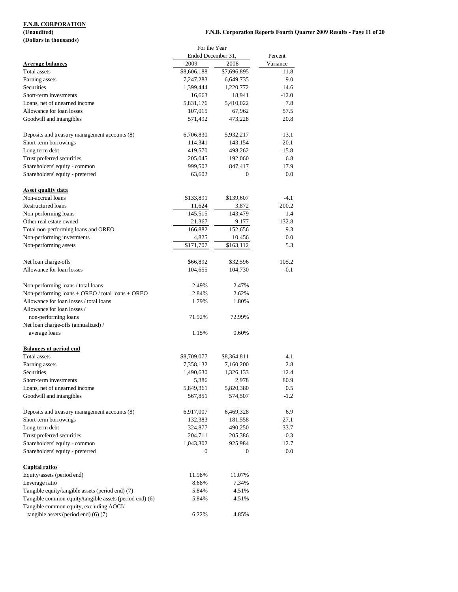## **(Dollars in thousands)**

|                                                                                                    | For the Year       |              |          |
|----------------------------------------------------------------------------------------------------|--------------------|--------------|----------|
|                                                                                                    | Ended December 31, |              | Percent  |
| <b>Average balances</b>                                                                            | 2009               | 2008         | Variance |
| Total assets                                                                                       | \$8,606,188        | \$7,696,895  | 11.8     |
| Earning assets                                                                                     | 7,247,283          | 6,649,735    | 9.0      |
| Securities                                                                                         | 1,399,444          | 1,220,772    | 14.6     |
| Short-term investments                                                                             | 16,663             | 18,941       | $-12.0$  |
| Loans, net of unearned income                                                                      | 5,831,176          | 5,410,022    | 7.8      |
| Allowance for loan losses                                                                          | 107,015            | 67,962       | 57.5     |
| Goodwill and intangibles                                                                           | 571,492            | 473,228      | 20.8     |
| Deposits and treasury management accounts (8)                                                      | 6,706,830          | 5,932,217    | 13.1     |
| Short-term borrowings                                                                              | 114,341            | 143,154      | $-20.1$  |
| Long-term debt                                                                                     | 419,570            | 498,262      | $-15.8$  |
| Trust preferred securities                                                                         | 205,045            | 192,060      | 6.8      |
| Shareholders' equity - common                                                                      | 999,502            | 847,417      | 17.9     |
| Shareholders' equity - preferred                                                                   | 63,602             | $\mathbf{0}$ | 0.0      |
| <b>Asset quality data</b>                                                                          |                    |              |          |
| Non-accrual loans                                                                                  | \$133,891          | \$139,607    | -4.1     |
| <b>Restructured loans</b>                                                                          | 11,624             | 3,872        | 200.2    |
| Non-performing loans                                                                               | 145,515            | 143,479      | 1.4      |
| Other real estate owned                                                                            | 21,367             | 9,177        | 132.8    |
| Total non-performing loans and OREO                                                                | 166,882            | 152,656      | 9.3      |
| Non-performing investments                                                                         | 4,825              | 10,456       | 0.0      |
| Non-performing assets                                                                              | \$171,707          | \$163,112    | 5.3      |
| Net loan charge-offs                                                                               | \$66,892           | \$32,596     | 105.2    |
| Allowance for loan losses                                                                          | 104,655            | 104,730      | $-0.1$   |
| Non-performing loans / total loans                                                                 | 2.49%              | 2.47%        |          |
| Non-performing loans + OREO / total loans + OREO                                                   | 2.84%              | 2.62%        |          |
| Allowance for loan losses / total loans                                                            | 1.79%              | 1.80%        |          |
| Allowance for loan losses /                                                                        |                    |              |          |
| non-performing loans                                                                               | 71.92%             | 72.99%       |          |
| Net loan charge-offs (annualized) /                                                                |                    |              |          |
| average loans                                                                                      | 1.15%              | 0.60%        |          |
| <b>Balances at period end</b>                                                                      |                    |              |          |
| <b>Total assets</b>                                                                                | \$8,709,077        | \$8,364,811  | 4.1      |
| Earning assets                                                                                     | 7,358,132          | 7,160,200    | 2.8      |
| Securities                                                                                         | 1,490,630          | 1,326,133    | 12.4     |
| Short-term investments                                                                             | 5,386              | 2,978        | 80.9     |
| Loans, net of unearned income                                                                      | 5,849,361          | 5,820,380    | 0.5      |
| Goodwill and intangibles                                                                           | 567,851            | 574,507      | $-1.2$   |
| Deposits and treasury management accounts (8)                                                      | 6,917,007          | 6,469,328    | 6.9      |
| Short-term borrowings                                                                              | 132,383            | 181,558      | $-27.1$  |
| Long-term debt                                                                                     | 324,877            | 490,250      | $-33.7$  |
| Trust preferred securities                                                                         | 204,711            | 205,386      | $-0.3$   |
| Shareholders' equity - common                                                                      | 1,043,302          | 925,984      | 12.7     |
| Shareholders' equity - preferred                                                                   | 0                  | $\mathbf{0}$ | 0.0      |
| <b>Capital ratios</b>                                                                              |                    |              |          |
| Equity/assets (period end)                                                                         | 11.98%             | 11.07%       |          |
| Leverage ratio                                                                                     | 8.68%              | 7.34%        |          |
| Tangible equity/tangible assets (period end) (7)                                                   | 5.84%              | 4.51%        |          |
| Tangible common equity/tangible assets (period end) (6)<br>Tangible common equity, excluding AOCI/ | 5.84%              | 4.51%        |          |
| tangible assets (period end) (6) (7)                                                               | 6.22%              | 4.85%        |          |
|                                                                                                    |                    |              |          |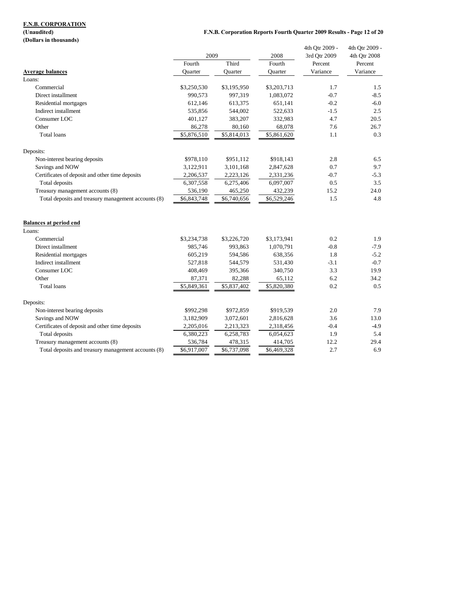**(Dollars in thousands)**

### **F.N.B. Corporation Reports Fourth Quarter 2009 Results - Page 12 of 20**

| (Donal 3 in thousanus)                              |                |                |             | 4th Qtr 2009 - | 4th Qtr 2009 - |
|-----------------------------------------------------|----------------|----------------|-------------|----------------|----------------|
|                                                     | 2009           |                | 2008        | 3rd Otr 2009   | 4th Qtr 2008   |
|                                                     | Fourth         | Third          | Fourth      | Percent        | Percent        |
| <b>Average balances</b>                             | <b>Ouarter</b> | <b>Ouarter</b> | Ouarter     | Variance       | Variance       |
| Loans:                                              |                |                |             |                |                |
| Commercial                                          | \$3,250,530    | \$3,195,950    | \$3,203,713 | 1.7            | 1.5            |
| Direct installment                                  | 990,573        | 997,319        | 1,083,072   | $-0.7$         | $-8.5$         |
| Residential mortgages                               | 612,146        | 613,375        | 651,141     | $-0.2$         | $-6.0$         |
| Indirect installment                                | 535,856        | 544,002        | 522,633     | $-1.5$         | 2.5            |
| Consumer LOC                                        | 401,127        | 383,207        | 332,983     | 4.7            | 20.5           |
| Other                                               | 86,278         | 80,160         | 68,078      | 7.6            | 26.7           |
| <b>Total</b> loans                                  | \$5,876,510    | \$5,814,013    | \$5,861,620 | 1.1            | 0.3            |
| Deposits:                                           |                |                |             |                |                |
| Non-interest bearing deposits                       | \$978,110      | \$951,112      | \$918,143   | 2.8            | 6.5            |
| Savings and NOW                                     | 3,122,911      | 3,101,168      | 2,847,628   | 0.7            | 9.7            |
| Certificates of deposit and other time deposits     | 2,206,537      | 2,223,126      | 2,331,236   | $-0.7$         | $-5.3$         |
| Total deposits                                      | 6,307,558      | 6,275,406      | 6,097,007   | 0.5            | 3.5            |
| Treasury management accounts (8)                    | 536,190        | 465,250        | 432,239     | 15.2           | 24.0           |
| Total deposits and treasury management accounts (8) | \$6,843,748    | \$6,740,656    | \$6,529,246 | 1.5            | 4.8            |
| <b>Balances at period end</b>                       |                |                |             |                |                |
| Loans:                                              |                |                |             |                |                |
| Commercial                                          | \$3,234,738    | \$3,226,720    | \$3,173,941 | 0.2            | 1.9            |
| Direct installment                                  | 985,746        | 993,863        | 1,070,791   | $-0.8$         | $-7.9$         |
| Residential mortgages                               | 605,219        | 594,586        | 638,356     | 1.8            | $-5.2$         |
| Indirect installment                                | 527,818        | 544,579        | 531,430     | $-3.1$         | $-0.7$         |
| Consumer LOC                                        | 408,469        | 395,366        | 340,750     | 3.3            | 19.9           |
| Other                                               | 87,371         | 82,288         | 65,112      | 6.2            | 34.2           |
| Total loans                                         | \$5,849,361    | \$5,837,402    | \$5,820,380 | 0.2            | 0.5            |
| Deposits:                                           |                |                |             |                |                |
| Non-interest bearing deposits                       | \$992,298      | \$972,859      | \$919,539   | 2.0            | 7.9            |
| Savings and NOW                                     | 3,182,909      | 3,072,601      | 2,816,628   | 3.6            | 13.0           |
| Certificates of deposit and other time deposits     | 2,205,016      | 2,213,323      | 2,318,456   | $-0.4$         | $-4.9$         |
| Total deposits                                      | 6,380,223      | 6,258,783      | 6,054,623   | 1.9            | 5.4            |
| Treasury management accounts (8)                    | 536,784        | 478,315        | 414,705     | 12.2           | 29.4           |
| Total deposits and treasury management accounts (8) | \$6,917,007    | \$6,737,098    | \$6,469,328 | 2.7            | 6.9            |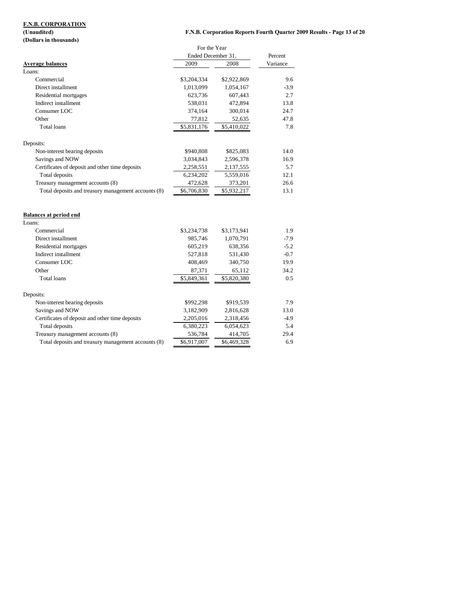## **(Dollars in thousands)**

### **F.N.B. Corporation Reports Fourth Quarter 2009 Results - Page 13 of 20**

|                                                     | For the Year       |             |          |
|-----------------------------------------------------|--------------------|-------------|----------|
|                                                     | Ended December 31, |             | Percent  |
| <b>Average balances</b>                             | 2009               | 2008        | Variance |
| Loans:                                              |                    |             |          |
| Commercial                                          | \$3,204,334        | \$2,922,869 | 9.6      |
| Direct installment                                  | 1,013,099          | 1,054,167   | $-3.9$   |
| Residential mortgages                               | 623,736            | 607,443     | 2.7      |
| Indirect installment                                | 538,031            | 472,894     | 13.8     |
| Consumer LOC                                        | 374,164            | 300,014     | 24.7     |
| Other                                               | 77,812             | 52,635      | 47.8     |
| <b>Total</b> loans                                  | \$5,831,176        | \$5,410,022 | 7.8      |
| Deposits:                                           |                    |             |          |
| Non-interest bearing deposits                       | \$940,808          | \$825,083   | 14.0     |
| Savings and NOW                                     | 3,034,843          | 2,596,378   | 16.9     |
| Certificates of deposit and other time deposits     | 2,258,551          | 2,137,555   | 5.7      |
| Total deposits                                      | 6,234,202          | 5,559,016   | 12.1     |
| Treasury management accounts (8)                    | 472,628            | 373,201     | 26.6     |
| Total deposits and treasury management accounts (8) | \$6,706,830        | \$5,932,217 | 13.1     |
| <b>Balances at period end</b>                       |                    |             |          |
| Loans:                                              |                    |             |          |
| Commercial                                          | \$3,234,738        | \$3,173,941 | 1.9      |
| Direct installment                                  | 985,746            | 1,070,791   | $-7.9$   |
| Residential mortgages                               | 605,219            | 638,356     | $-5.2$   |
| Indirect installment                                | 527,818            | 531,430     | $-0.7$   |
| Consumer LOC                                        | 408,469            | 340,750     | 19.9     |
| Other                                               | 87,371             | 65,112      | 34.2     |
| <b>Total</b> loans                                  | \$5,849,361        | \$5,820,380 | 0.5      |
| Deposits:                                           |                    |             |          |
| Non-interest bearing deposits                       | \$992,298          | \$919,539   | 7.9      |
|                                                     | 2.102.000          | 2.016(20)   | 120      |

| Savings and NOW                                     | 3.182.909   | 2,816,628   | 13.0   |
|-----------------------------------------------------|-------------|-------------|--------|
| Certificates of deposit and other time deposits     | 2,205,016   | 2,318,456   | $-4.9$ |
| Total deposits                                      | 6.380.223   | 6.054.623   | 5.4    |
| Treasury management accounts (8)                    | 536.784     | 414.705     | 29.4   |
| Total deposits and treasury management accounts (8) | \$6,917,007 | \$6,469,328 | 6.9    |
|                                                     |             |             |        |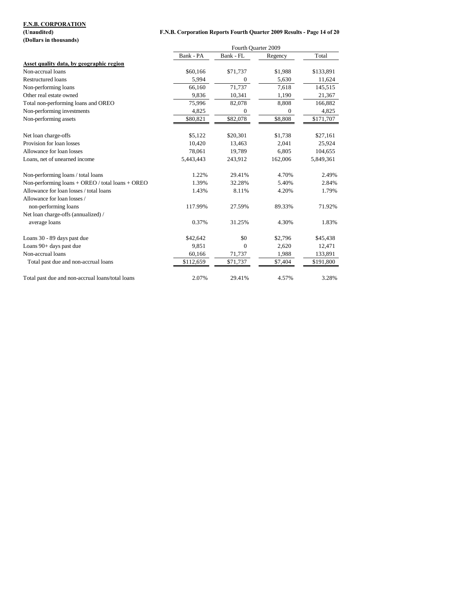**(Dollars in thousands)**

### **(Unaudited) F.N.B. Corporation Reports Fourth Quarter 2009 Results - Page 14 of 20**

|                                                  | Fourth Quarter 2009 |                  |              |           |
|--------------------------------------------------|---------------------|------------------|--------------|-----------|
|                                                  | Bank - PA           | Bank - FL        | Regency      | Total     |
| Asset quality data, by geographic region         |                     |                  |              |           |
| Non-accrual loans                                | \$60,166            | \$71,737         | \$1,988      | \$133,891 |
| <b>Restructured</b> loans                        | 5,994               | 0                | 5,630        | 11,624    |
| Non-performing loans                             | 66,160              | 71,737           | 7,618        | 145,515   |
| Other real estate owned                          | 9,836               | 10,341           | 1,190        | 21,367    |
| Total non-performing loans and OREO              | 75,996              | 82,078           | 8,808        | 166,882   |
| Non-performing investments                       | 4,825               | $\boldsymbol{0}$ | $\mathbf{0}$ | 4,825     |
| Non-performing assets                            | \$80,821            | \$82,078         | \$8,808      | \$171,707 |
| Net loan charge-offs                             | \$5,122             | \$20,301         | \$1,738      | \$27,161  |
| Provision for loan losses                        | 10,420              | 13,463           | 2,041        | 25,924    |
| Allowance for loan losses                        | 78,061              | 19,789           | 6,805        | 104,655   |
| Loans, net of unearned income                    | 5,443,443           | 243,912          | 162,006      | 5,849,361 |
| Non-performing loans / total loans               | 1.22%               | 29.41%           | 4.70%        | 2.49%     |
| Non-performing loans + OREO / total loans + OREO | 1.39%               | 32.28%           | 5.40%        | 2.84%     |
| Allowance for loan losses / total loans          | 1.43%               | 8.11%            | 4.20%        | 1.79%     |
| Allowance for loan losses /                      |                     |                  |              |           |
| non-performing loans                             | 117.99%             | 27.59%           | 89.33%       | 71.92%    |
| Net loan charge-offs (annualized) /              |                     |                  |              |           |
| average loans                                    | 0.37%               | 31.25%           | 4.30%        | 1.83%     |
| Loans 30 - 89 days past due                      | \$42,642            | \$0              | \$2,796      | \$45,438  |
| Loans 90+ days past due                          | 9,851               | $\mathbf{0}$     | 2,620        | 12,471    |
| Non-accrual loans                                | 60,166              | 71,737           | 1,988        | 133,891   |
| Total past due and non-accrual loans             | \$112,659           | \$71,737         | \$7,404      | \$191,800 |
| Total past due and non-accrual loans/total loans | 2.07%               | 29.41%           | 4.57%        | 3.28%     |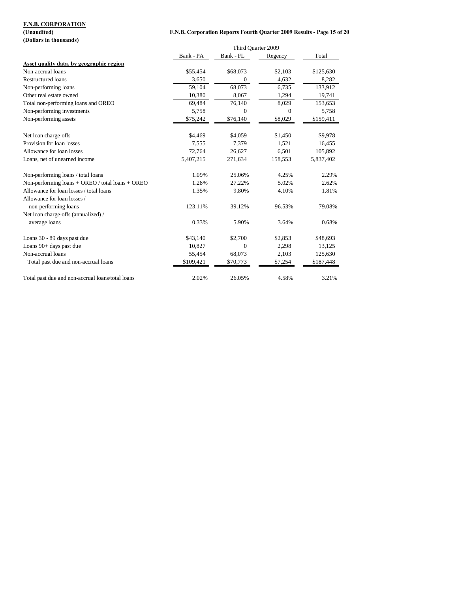**(Dollars in thousands)**

### **(Unaudited) F.N.B. Corporation Reports Fourth Quarter 2009 Results - Page 15 of 20**

|                                                    | Third Ouarter 2009 |                  |          |           |
|----------------------------------------------------|--------------------|------------------|----------|-----------|
|                                                    | Bank - PA          | Bank - FL        | Regency  | Total     |
| Asset quality data, by geographic region           |                    |                  |          |           |
| Non-accrual loans                                  | \$55,454           | \$68,073         | \$2,103  | \$125,630 |
| <b>Restructured loans</b>                          | 3,650              | $\mathbf{0}$     | 4,632    | 8,282     |
| Non-performing loans                               | 59,104             | 68,073           | 6,735    | 133,912   |
| Other real estate owned                            | 10,380             | 8,067            | 1,294    | 19,741    |
| Total non-performing loans and OREO                | 69,484             | 76,140           | 8,029    | 153,653   |
| Non-performing investments                         | 5,758              | $\boldsymbol{0}$ | $\Omega$ | 5,758     |
| Non-performing assets                              | \$75,242           | \$76,140         | \$8,029  | \$159,411 |
| Net loan charge-offs                               | \$4,469            | \$4,059          | \$1,450  | \$9,978   |
| Provision for loan losses                          | 7,555              | 7,379            | 1,521    | 16,455    |
| Allowance for loan losses                          | 72,764             | 26,627           | 6,501    | 105,892   |
| Loans, net of unearned income                      | 5,407,215          | 271,634          | 158,553  | 5,837,402 |
| Non-performing loans / total loans                 | 1.09%              | 25.06%           | 4.25%    | 2.29%     |
| Non-performing $loans + OREO / total loans + OREO$ | 1.28%              | 27.22%           | 5.02%    | 2.62%     |
| Allowance for loan losses / total loans            | 1.35%              | 9.80%            | 4.10%    | 1.81%     |
| Allowance for loan losses /                        |                    |                  |          |           |
| non-performing loans                               | 123.11%            | 39.12%           | 96.53%   | 79.08%    |
| Net loan charge-offs (annualized) /                |                    |                  |          |           |
| average loans                                      | 0.33%              | 5.90%            | 3.64%    | 0.68%     |
| Loans 30 - 89 days past due                        | \$43,140           | \$2,700          | \$2,853  | \$48,693  |
| Loans 90+ days past due                            | 10,827             | $\boldsymbol{0}$ | 2,298    | 13,125    |
| Non-accrual loans                                  | 55,454             | 68,073           | 2,103    | 125,630   |
| Total past due and non-accrual loans               | \$109,421          | \$70,773         | \$7,254  | \$187,448 |
| Total past due and non-accrual loans/total loans   | 2.02%              | 26.05%           | 4.58%    | 3.21%     |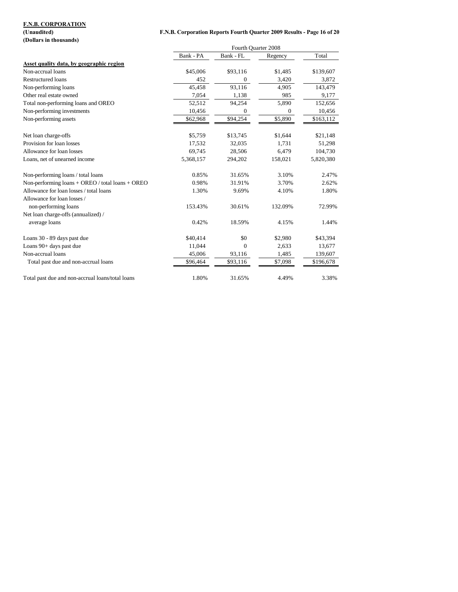**F.N.B. Corporation Reports Fourth Quarter 2009 Results - Page 16 of 20** 

| $10$ <i>manurout</i>   |
|------------------------|
| (Dollars in thousands) |

|                                                    | Fourth Quarter 2008 |              |              |           |  |
|----------------------------------------------------|---------------------|--------------|--------------|-----------|--|
|                                                    | Bank - PA           | Bank - FL    | Regency      | Total     |  |
| Asset quality data, by geographic region           |                     |              |              |           |  |
| Non-accrual loans                                  | \$45,006            | \$93,116     | \$1,485      | \$139,607 |  |
| <b>Restructured</b> loans                          | 452                 | 0            | 3,420        | 3,872     |  |
| Non-performing loans                               | 45,458              | 93,116       | 4.905        | 143,479   |  |
| Other real estate owned                            | 7,054               | 1,138        | 985          | 9,177     |  |
| Total non-performing loans and OREO                | 52,512              | 94,254       | 5,890        | 152,656   |  |
| Non-performing investments                         | 10,456              | $\mathbf{0}$ | $\mathbf{0}$ | 10,456    |  |
| Non-performing assets                              | \$62,968            | \$94,254     | \$5,890      | \$163,112 |  |
| Net loan charge-offs                               | \$5,759             | \$13,745     | \$1,644      | \$21,148  |  |
| Provision for loan losses                          | 17,532              | 32,035       | 1,731        | 51,298    |  |
| Allowance for loan losses                          | 69,745              | 28,506       | 6,479        | 104,730   |  |
| Loans, net of unearned income                      | 5,368,157           | 294,202      | 158,021      | 5,820,380 |  |
| Non-performing loans / total loans                 | 0.85%               | 31.65%       | 3.10%        | 2.47%     |  |
| Non-performing $loans + OREO / total loans + OREO$ | 0.98%               | 31.91%       | 3.70%        | 2.62%     |  |
| Allowance for loan losses / total loans            | 1.30%               | 9.69%        | 4.10%        | 1.80%     |  |
| Allowance for loan losses /                        |                     |              |              |           |  |
| non-performing loans                               | 153.43%             | 30.61%       | 132.09%      | 72.99%    |  |
| Net loan charge-offs (annualized) /                |                     |              |              |           |  |
| average loans                                      | 0.42%               | 18.59%       | 4.15%        | 1.44%     |  |
| Loans 30 - 89 days past due                        | \$40,414            | \$0          | \$2,980      | \$43,394  |  |
| Loans 90+ days past due                            | 11,044              | $\mathbf{0}$ | 2,633        | 13,677    |  |
| Non-accrual loans                                  | 45,006              | 93,116       | 1,485        | 139,607   |  |
| Total past due and non-accrual loans               | \$96,464            | \$93,116     | \$7,098      | \$196,678 |  |
| Total past due and non-accrual loans/total loans   | 1.80%               | 31.65%       | 4.49%        | 3.38%     |  |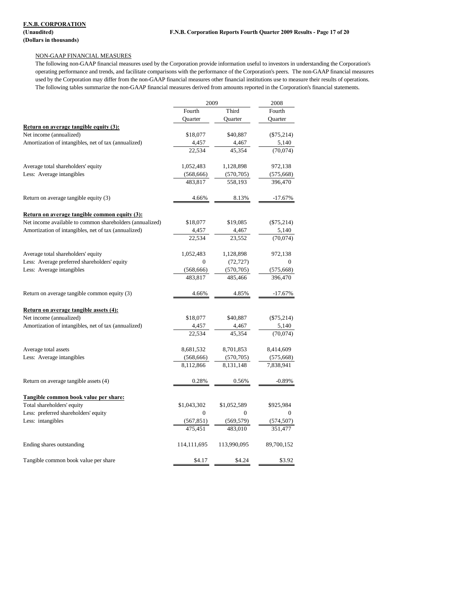### NON-GAAP FINANCIAL MEASURES

The following non-GAAP financial measures used by the Corporation provide information useful to investors in understanding the Corporation's operating performance and trends, and facilitate comparisons with the performance of the Corporation's peers. The non-GAAP financial measures used by the Corporation may differ from the non-GAAP financial measures other financial institutions use to measure their results of operations. The following tables summarize the non-GAAP financial measures derived from amounts reported in the Corporation's financial statements.

|                                                          | 2009           |             | 2008         |  |
|----------------------------------------------------------|----------------|-------------|--------------|--|
|                                                          | Fourth         | Third       | Fourth       |  |
|                                                          | Quarter        | Quarter     | Quarter      |  |
| <b>Return on average tangible equity (3):</b>            |                |             |              |  |
| Net income (annualized)                                  | \$18,077       | \$40,887    | $(\$75,214)$ |  |
| Amortization of intangibles, net of tax (annualized)     | 4,457          | 4,467       | 5,140        |  |
|                                                          | 22,534         | 45,354      | (70,074)     |  |
| Average total shareholders' equity                       | 1,052,483      | 1,128,898   | 972,138      |  |
| Less: Average intangibles                                | (568, 666)     | (570, 705)  | (575, 668)   |  |
|                                                          | 483,817        | 558,193     | 396,470      |  |
| Return on average tangible equity (3)                    | 4.66%          | 8.13%       | -17.67%      |  |
| <b>Return on average tangible common equity (3):</b>     |                |             |              |  |
| Net income available to common shareholders (annualized) | \$18,077       | \$19,085    | $(\$75,214)$ |  |
| Amortization of intangibles, net of tax (annualized)     | 4,457          | 4,467       | 5,140        |  |
|                                                          | 22,534         | 23,552      | (70,074)     |  |
| Average total shareholders' equity                       | 1,052,483      | 1,128,898   | 972,138      |  |
| Less: Average preferred shareholders' equity             | 0              | (72, 727)   | $\Omega$     |  |
| Less: Average intangibles                                | (568, 666)     | (570, 705)  | (575, 668)   |  |
|                                                          | 483,817        | 485,466     | 396,470      |  |
| Return on average tangible common equity (3)             | 4.66%          | 4.85%       | -17.67%      |  |
| Return on average tangible assets (4):                   |                |             |              |  |
| Net income (annualized)                                  | \$18,077       | \$40,887    | $(\$75,214)$ |  |
| Amortization of intangibles, net of tax (annualized)     | 4,457          | 4,467       | 5,140        |  |
|                                                          | 22,534         | 45.354      | (70,074)     |  |
| Average total assets                                     | 8,681,532      | 8,701,853   | 8,414,609    |  |
| Less: Average intangibles                                | (568, 666)     | (570, 705)  | (575, 668)   |  |
|                                                          | 8,112,866      | 8,131,148   | 7,838,941    |  |
| Return on average tangible assets (4)                    | 0.28%          | 0.56%       | $-0.89%$     |  |
| Tangible common book value per share:                    |                |             |              |  |
| Total shareholders' equity                               | \$1,043,302    | \$1,052,589 | \$925,984    |  |
| Less: preferred shareholders' equity                     | $\overline{0}$ | 0           | 0            |  |
| Less: intangibles                                        | (567, 851)     | (569, 579)  | (574, 507)   |  |
|                                                          | 475,451        | 483,010     | 351,477      |  |
| Ending shares outstanding                                | 114,111,695    | 113,990,095 | 89,700,152   |  |
| Tangible common book value per share                     | \$4.17         | \$4.24      | \$3.92       |  |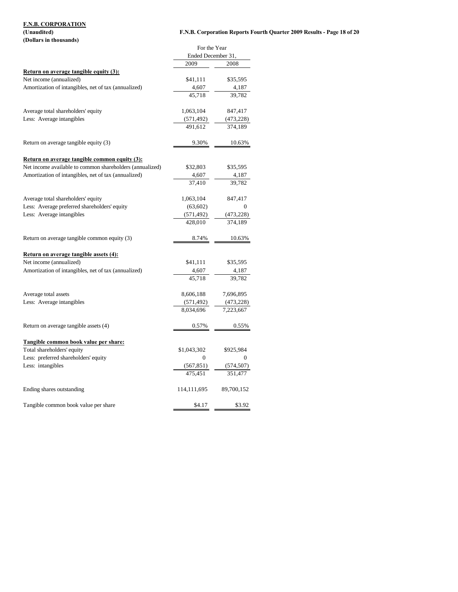# **F.N.B. CORPORATION (Dollars in thousands)**

## **(Unaudited) F.N.B. Corporation Reports Fourth Quarter 2009 Results - Page 18 of 20**

| (DVIIAI 9 III UIUUSAIIUS <i>)</i>                                          |                                    |            |  |
|----------------------------------------------------------------------------|------------------------------------|------------|--|
|                                                                            | For the Year<br>Ended December 31, |            |  |
|                                                                            | 2009                               | 2008       |  |
| <b>Return on average tangible equity (3):</b>                              |                                    |            |  |
| Net income (annualized)                                                    | \$41,111                           | \$35,595   |  |
|                                                                            |                                    |            |  |
| Amortization of intangibles, net of tax (annualized)                       | 4,607                              | 4,187      |  |
|                                                                            | 45,718                             | 39,782     |  |
| Average total shareholders' equity                                         | 1,063,104                          | 847,417    |  |
| Less: Average intangibles                                                  | (571, 492)                         | (473,228)  |  |
|                                                                            | 491,612                            | 374,189    |  |
| Return on average tangible equity (3)                                      | 9.30%                              | 10.63%     |  |
| Return on average tangible common equity (3):                              |                                    |            |  |
| Net income available to common shareholders (annualized)                   | \$32,803                           | \$35,595   |  |
| Amortization of intangibles, net of tax (annualized)                       | 4,607                              | 4,187      |  |
|                                                                            | 37,410                             | 39.782     |  |
|                                                                            |                                    |            |  |
| Average total shareholders' equity                                         | 1,063,104                          | 847,417    |  |
| Less: Average preferred shareholders' equity                               | (63,602)                           | 0          |  |
| Less: Average intangibles                                                  | (571, 492)                         | (473,228)  |  |
|                                                                            | 428,010                            | 374.189    |  |
| Return on average tangible common equity (3)                               | 8.74%                              | 10.63%     |  |
| Return on average tangible assets (4):                                     |                                    |            |  |
| Net income (annualized)                                                    | \$41,111                           | \$35,595   |  |
| Amortization of intangibles, net of tax (annualized)                       | 4,607                              | 4,187      |  |
|                                                                            | 45,718                             | 39,782     |  |
| Average total assets                                                       | 8,606,188                          | 7,696,895  |  |
| Less: Average intangibles                                                  | (571, 492)                         | (473, 228) |  |
|                                                                            | 8,034,696                          | 7,223,667  |  |
| Return on average tangible assets (4)                                      | 0.57%                              | 0.55%      |  |
|                                                                            |                                    |            |  |
| <u>Tangible common book value per share:</u><br>Total shareholders' equity | \$1,043,302                        | \$925,984  |  |
| Less: preferred shareholders' equity                                       | 0                                  | 0          |  |
| Less: intangibles                                                          |                                    |            |  |
|                                                                            | (567, 851)                         | (574,507)  |  |
|                                                                            | 475,451                            | 351.477    |  |
| Ending shares outstanding                                                  | 114,111,695                        | 89,700,152 |  |
| Tangible common book value per share                                       | \$4.17                             | \$3.92     |  |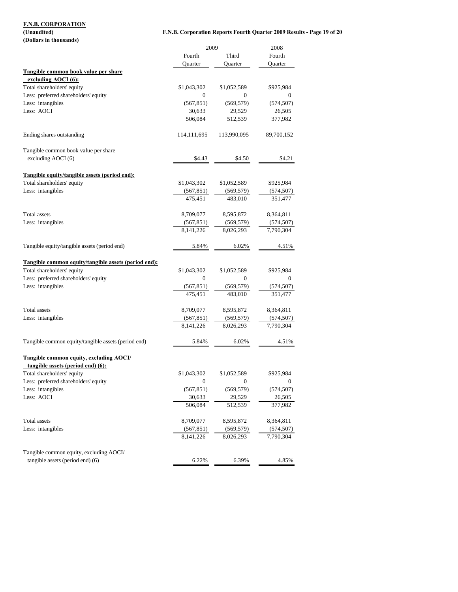**(Dollars in thousands)**

## **(Unaudited) F.N.B. Corporation Reports Fourth Quarter 2009 Results - Page 19 of 20**

|                                                      | 2009          |              | 2008         |
|------------------------------------------------------|---------------|--------------|--------------|
|                                                      | Fourth        | Third        | Fourth       |
|                                                      | Quarter       | Quarter      | Quarter      |
| Tangible common book value per share                 |               |              |              |
| excluding AOCI (6):                                  |               |              |              |
| Total shareholders' equity                           | \$1,043,302   | \$1,052,589  | \$925,984    |
| Less: preferred shareholders' equity                 | $\mathbf{0}$  | $\mathbf{0}$ | 0            |
| Less: intangibles                                    | (567, 851)    | (569, 579)   | (574, 507)   |
| Less: AOCI                                           | 30,633        | 29,529       | 26,505       |
|                                                      | 506,084       | 512,539      | 377,982      |
| Ending shares outstanding                            | 114, 111, 695 | 113,990,095  | 89,700,152   |
| Tangible common book value per share                 |               |              |              |
| excluding AOCI (6)                                   | \$4.43        | \$4.50       | \$4.21       |
| Tangible equity/tangible assets (period end):        |               |              |              |
| Total shareholders' equity                           | \$1,043,302   | \$1,052,589  | \$925,984    |
| Less: intangibles                                    | (567, 851)    | (569, 579)   | (574, 507)   |
|                                                      | 475,451       | 483,010      | 351,477      |
| Total assets                                         | 8,709,077     | 8,595,872    | 8,364,811    |
| Less: intangibles                                    | (567, 851)    | (569, 579)   | (574, 507)   |
|                                                      | 8,141,226     | 8,026,293    | 7,790,304    |
| Tangible equity/tangible assets (period end)         | 5.84%         | 6.02%        | 4.51%        |
| Tangible common equity/tangible assets (period end): |               |              |              |
| Total shareholders' equity                           | \$1,043,302   | \$1,052,589  | \$925,984    |
| Less: preferred shareholders' equity                 | $\mathbf{0}$  | $\mathbf{0}$ | $\mathbf{0}$ |
| Less: intangibles                                    | (567, 851)    | (569, 579)   | (574, 507)   |
|                                                      | 475,451       | 483,010      | 351,477      |
| Total assets                                         | 8,709,077     | 8,595,872    | 8,364,811    |
| Less: intangibles                                    | (567, 851)    | (569, 579)   | (574, 507)   |
|                                                      | 8, 141, 226   | 8,026,293    | 7,790,304    |
| Tangible common equity/tangible assets (period end)  | 5.84%         | 6.02%        | 4.51%        |
| Tangible common equity, excluding AOCI/              |               |              |              |
| tangible assets (period end) (6):                    |               |              |              |
| Total shareholders' equity                           | \$1,043,302   | \$1,052,589  | \$925,984    |
| Less: preferred shareholders' equity                 | 0             | 0            | 0            |
| Less: intangibles                                    | (567, 851)    | (569, 579)   | (574, 507)   |
| Less: AOCI                                           | 30,633        | 29,529       | 26,505       |
|                                                      | 506,084       | 512,539      | 377,982      |
| Total assets                                         | 8,709,077     | 8,595,872    | 8,364,811    |
| Less: intangibles                                    | (567, 851)    | (569, 579)   | (574, 507)   |
|                                                      | 8, 141, 226   | 8,026,293    | 7,790,304    |
| Tangible common equity, excluding AOCI/              |               |              |              |
| tangible assets (period end) (6)                     | 6.22%         | 6.39%        | 4.85%        |